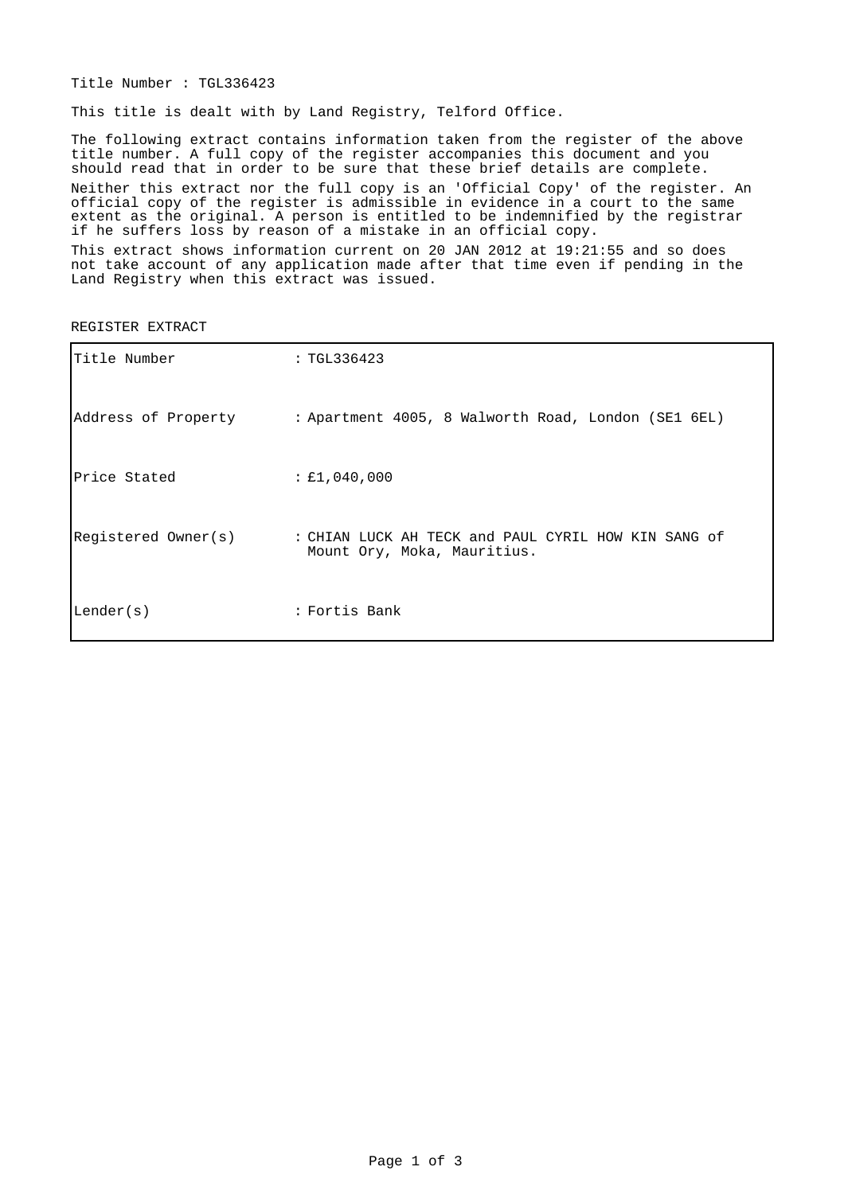Title Number : TGL336423

This title is dealt with by Land Registry, Telford Office.

The following extract contains information taken from the register of the above title number. A full copy of the register accompanies this document and you should read that in order to be sure that these brief details are complete. Neither this extract nor the full copy is an 'Official Copy' of the register. An official copy of the register is admissible in evidence in a court to the same extent as the original. A person is entitled to be indemnified by the registrar if he suffers loss by reason of a mistake in an official copy.

This extract shows information current on 20 JAN 2012 at 19:21:55 and so does not take account of any application made after that time even if pending in the Land Registry when this extract was issued.

| Title Number        | : TGL336423                                                                        |
|---------------------|------------------------------------------------------------------------------------|
|                     | Address of Property : Apartment 4005, 8 Walworth Road, London (SE1 6EL)            |
| Price Stated        | : E1,040,000                                                                       |
| Registered Owner(s) | : CHIAN LUCK AH TECK and PAUL CYRIL HOW KIN SANG of<br>Mount Ory, Moka, Mauritius. |
| Lender(s)           | : Fortis Bank                                                                      |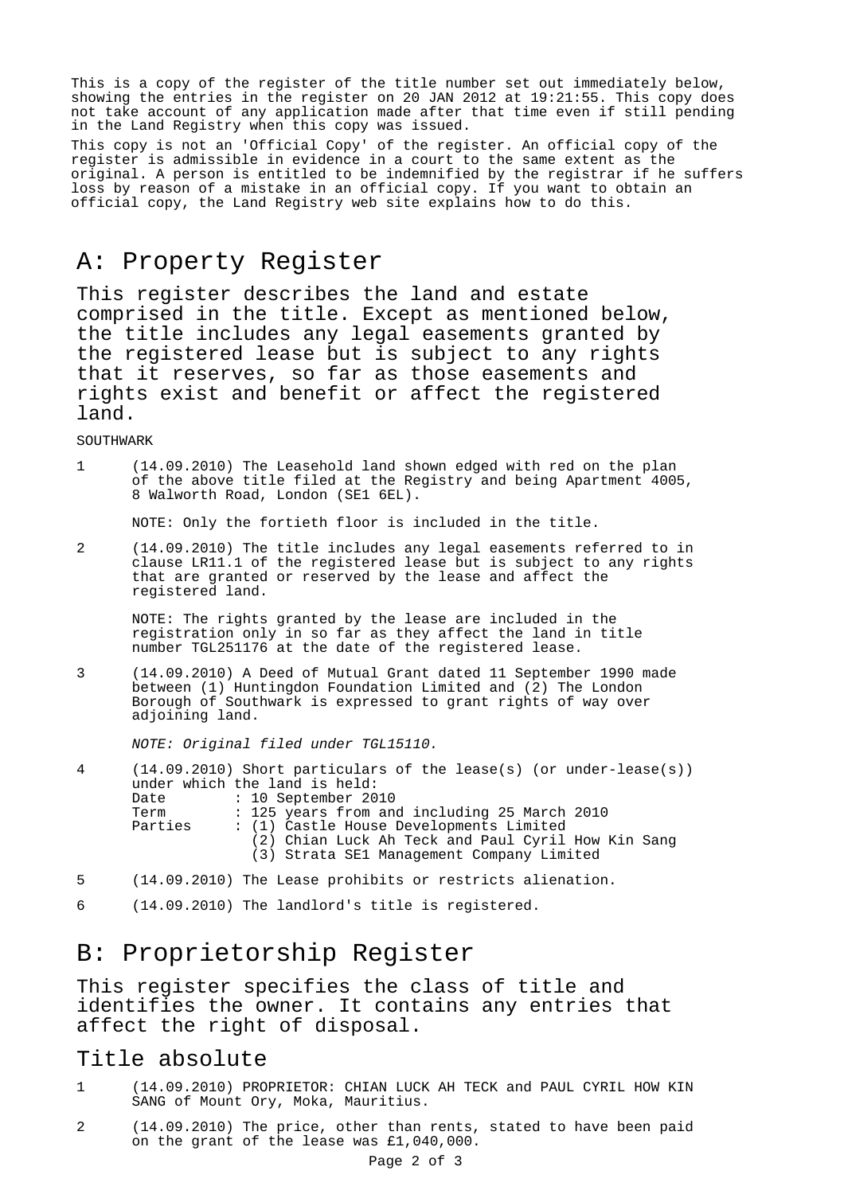This is a copy of the register of the title number set out immediately below, showing the entries in the register on 20 JAN 2012 at 19:21:55. This copy does not take account of any application made after that time even if still pending in the Land Registry when this copy was issued.

This copy is not an 'Official Copy' of the register. An official copy of the register is admissible in evidence in a court to the same extent as the original. A person is entitled to be indemnified by the registrar if he suffers loss by reason of a mistake in an official copy. If you want to obtain an official copy, the Land Registry web site explains how to do this.

## A: Property Register

This register describes the land and estate comprised in the title. Except as mentioned below, the title includes any legal easements granted by the registered lease but is subject to any rights that it reserves, so far as those easements and rights exist and benefit or affect the registered land.

SOUTHWARK

1 (14.09.2010) The Leasehold land shown edged with red on the plan of the above title filed at the Registry and being Apartment 4005, 8 Walworth Road, London (SE1 6EL).

NOTE: Only the fortieth floor is included in the title.

2 (14.09.2010) The title includes any legal easements referred to in clause LR11.1 of the registered lease but is subject to any rights that are granted or reserved by the lease and affect the registered land.

NOTE: The rights granted by the lease are included in the registration only in so far as they affect the land in title number TGL251176 at the date of the registered lease.

3 (14.09.2010) A Deed of Mutual Grant dated 11 September 1990 made between (1) Huntingdon Foundation Limited and (2) The London Borough of Southwark is expressed to grant rights of way over adjoining land.

NOTE: Original filed under TGL15110.

| 4 |         | $(14.09.2010)$ Short particulars of the lease(s) (or under-lease(s)) |
|---|---------|----------------------------------------------------------------------|
|   |         | under which the land is held:                                        |
|   | Date    | $: 10$ September 2010                                                |
|   | Term    | : 125 years from and including 25 March 2010                         |
|   | Parties | : (1) Castle House Developments Limited                              |
|   |         | (2) Chian Luck Ah Teck and Paul Cyril How Kin Sang                   |
|   |         | (3) Strata SE1 Management Company Limited                            |
|   |         |                                                                      |

- 5 (14.09.2010) The Lease prohibits or restricts alienation.
- 6 (14.09.2010) The landlord's title is registered.

## B: Proprietorship Register

This register specifies the class of title and identifies the owner. It contains any entries that affect the right of disposal.

#### Title absolute

- 1 (14.09.2010) PROPRIETOR: CHIAN LUCK AH TECK and PAUL CYRIL HOW KIN SANG of Mount Ory, Moka, Mauritius.
- 2 (14.09.2010) The price, other than rents, stated to have been paid on the grant of the lease was £1,040,000.